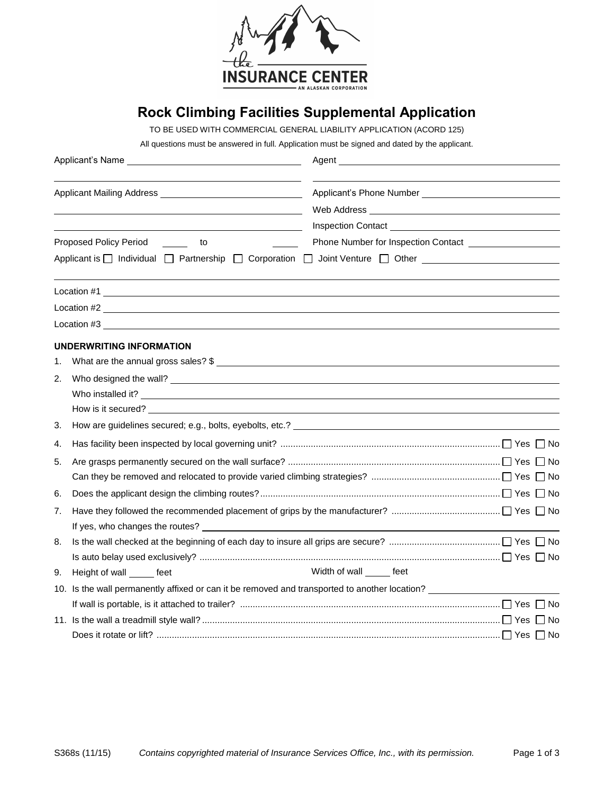

## **Rock Climbing Facilities Supplemental Application**

TO BE USED WITH COMMERCIAL GENERAL LIABILITY APPLICATION (ACORD 125)

All questions must be answered in full. Application must be signed and dated by the applicant.

|    |                                                                                                                                                                                                                                | Web Address New York and the Marian Street and the Marian Street and the Marian Street and the Marian Street and The Marian Street and the Marian Street and the Marian Street and Theorem and The Marian Street and The Maria |  |  |
|----|--------------------------------------------------------------------------------------------------------------------------------------------------------------------------------------------------------------------------------|--------------------------------------------------------------------------------------------------------------------------------------------------------------------------------------------------------------------------------|--|--|
|    |                                                                                                                                                                                                                                |                                                                                                                                                                                                                                |  |  |
|    | $\sim$ to<br>Proposed Policy Period                                                                                                                                                                                            |                                                                                                                                                                                                                                |  |  |
|    | Applicant is □ Individual □ Partnership □ Corporation □ Joint Venture □ Other _____________________                                                                                                                            |                                                                                                                                                                                                                                |  |  |
|    | Location #1                                                                                                                                                                                                                    |                                                                                                                                                                                                                                |  |  |
|    | $Location #2$ $\overline{\phantom{a}}$                                                                                                                                                                                         |                                                                                                                                                                                                                                |  |  |
|    | Location #3                                                                                                                                                                                                                    |                                                                                                                                                                                                                                |  |  |
|    | UNDERWRITING INFORMATION                                                                                                                                                                                                       |                                                                                                                                                                                                                                |  |  |
| 1. | What are the annual gross sales? \$                                                                                                                                                                                            |                                                                                                                                                                                                                                |  |  |
| 2. |                                                                                                                                                                                                                                |                                                                                                                                                                                                                                |  |  |
|    |                                                                                                                                                                                                                                |                                                                                                                                                                                                                                |  |  |
|    | How is it secured? The second second second second second second second second second second second second second second second second second second second second second second second second second second second second sec |                                                                                                                                                                                                                                |  |  |
| 3. |                                                                                                                                                                                                                                |                                                                                                                                                                                                                                |  |  |
| 4. |                                                                                                                                                                                                                                |                                                                                                                                                                                                                                |  |  |
| 5. |                                                                                                                                                                                                                                |                                                                                                                                                                                                                                |  |  |
|    |                                                                                                                                                                                                                                |                                                                                                                                                                                                                                |  |  |
| 6. |                                                                                                                                                                                                                                |                                                                                                                                                                                                                                |  |  |
| 7. |                                                                                                                                                                                                                                |                                                                                                                                                                                                                                |  |  |
|    |                                                                                                                                                                                                                                |                                                                                                                                                                                                                                |  |  |
| 8. |                                                                                                                                                                                                                                |                                                                                                                                                                                                                                |  |  |
|    |                                                                                                                                                                                                                                |                                                                                                                                                                                                                                |  |  |
| 9. | Height of wall ______ feet                                                                                                                                                                                                     | Width of wall ______ feet                                                                                                                                                                                                      |  |  |
|    | 10. Is the wall permanently affixed or can it be removed and transported to another location?                                                                                                                                  |                                                                                                                                                                                                                                |  |  |
|    |                                                                                                                                                                                                                                |                                                                                                                                                                                                                                |  |  |
|    |                                                                                                                                                                                                                                |                                                                                                                                                                                                                                |  |  |
|    |                                                                                                                                                                                                                                |                                                                                                                                                                                                                                |  |  |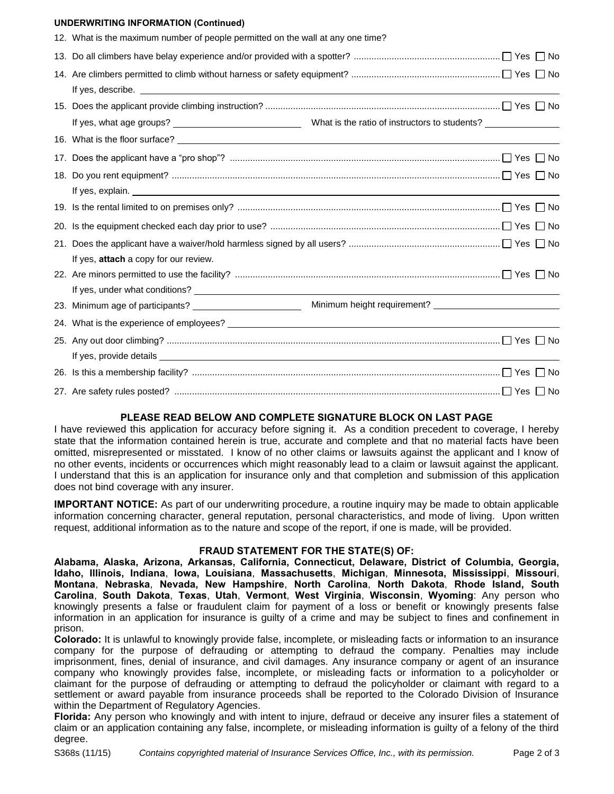## **UNDERWRITING INFORMATION (Continued)**

| 12. What is the maximum number of people permitted on the wall at any one time?                                                                                                                                                       |
|---------------------------------------------------------------------------------------------------------------------------------------------------------------------------------------------------------------------------------------|
|                                                                                                                                                                                                                                       |
|                                                                                                                                                                                                                                       |
|                                                                                                                                                                                                                                       |
|                                                                                                                                                                                                                                       |
|                                                                                                                                                                                                                                       |
|                                                                                                                                                                                                                                       |
|                                                                                                                                                                                                                                       |
| If yes, explain. <u>The same and the same of the same of the same of the same of the same of the same of the same of the same of the same of the same of the same of the same of the same of the same of the same of the same of</u>  |
|                                                                                                                                                                                                                                       |
|                                                                                                                                                                                                                                       |
|                                                                                                                                                                                                                                       |
| If yes, attach a copy for our review.                                                                                                                                                                                                 |
|                                                                                                                                                                                                                                       |
| If yes, under what conditions?<br><u> and</u> the conditions of the conditions of the conditions of the conditions of the conditions of the conditions of the conditions of the conditions of the conditions of the conditions of the |
|                                                                                                                                                                                                                                       |
|                                                                                                                                                                                                                                       |
|                                                                                                                                                                                                                                       |
|                                                                                                                                                                                                                                       |
|                                                                                                                                                                                                                                       |
|                                                                                                                                                                                                                                       |

## **PLEASE READ BELOW AND COMPLETE SIGNATURE BLOCK ON LAST PAGE**

I have reviewed this application for accuracy before signing it. As a condition precedent to coverage, I hereby state that the information contained herein is true, accurate and complete and that no material facts have been omitted, misrepresented or misstated. I know of no other claims or lawsuits against the applicant and I know of no other events, incidents or occurrences which might reasonably lead to a claim or lawsuit against the applicant. I understand that this is an application for insurance only and that completion and submission of this application does not bind coverage with any insurer.

**IMPORTANT NOTICE:** As part of our underwriting procedure, a routine inquiry may be made to obtain applicable information concerning character, general reputation, personal characteristics, and mode of living. Upon written request, additional information as to the nature and scope of the report, if one is made, will be provided.

## **FRAUD STATEMENT FOR THE STATE(S) OF:**

**Alabama, Alaska, Arizona, Arkansas, California, Connecticut, Delaware, District of Columbia, Georgia, Idaho, Illinois, Indiana**, **Iowa, Louisiana**, **Massachusetts**, **Michigan**, **Minnesota, Mississippi**, **Missouri**, **Montana**, **Nebraska**, **Nevada, New Hampshire**, **North Carolina**, **North Dakota**, **Rhode Island, South Carolina**, **South Dakota**, **Texas**, **Utah**, **Vermont**, **West Virginia**, **Wisconsin**, **Wyoming**: Any person who knowingly presents a false or fraudulent claim for payment of a loss or benefit or knowingly presents false information in an application for insurance is guilty of a crime and may be subject to fines and confinement in prison.

**Colorado:** It is unlawful to knowingly provide false, incomplete, or misleading facts or information to an insurance company for the purpose of defrauding or attempting to defraud the company. Penalties may include imprisonment, fines, denial of insurance, and civil damages. Any insurance company or agent of an insurance company who knowingly provides false, incomplete, or misleading facts or information to a policyholder or claimant for the purpose of defrauding or attempting to defraud the policyholder or claimant with regard to a settlement or award payable from insurance proceeds shall be reported to the Colorado Division of Insurance within the Department of Regulatory Agencies.

**Florida:** Any person who knowingly and with intent to injure, defraud or deceive any insurer files a statement of claim or an application containing any false, incomplete, or misleading information is guilty of a felony of the third degree.